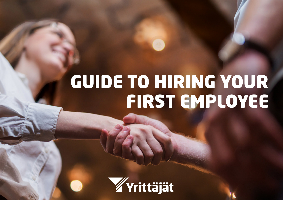## GUIDE TO HIRING YOUR FIRST EMPLOYEE

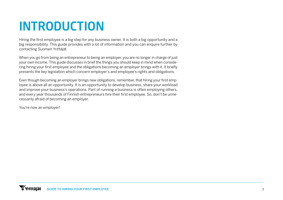## INTRODUCTION

Hiring the first employee is a big step for any business owner. It is both a big opportunity and a big responsibility. This guide provides with a lot of information and you can enquire further by contacting Suomen Yrittäjät.

When you go from being an entrepreneur to being an employer, you are no longer in charge of just your own income. This guide discusses in brief the things you should keep in mind when considering hiring your first employee and the obligations becoming an employer brings with it. It briefly presents the key legislation which concern employer's and employee's rights and obligations.

Even though becoming an employer brings new obligations, remember, that hiring your first employee is above all an opportunity. It is an opportunity to develop business, share your workload and improve your business's operations. Part of running a business is often employing others, and every year thousands of Finnish entrepreneurs hire their first employee. So, don't be unnecessarily afraid of becoming an employer.

You're now an employer!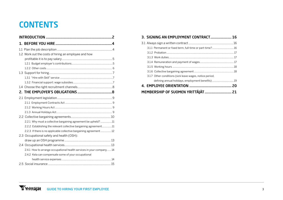## **CONTENTS**

| 1.2 Work out the costs of hiring an employee and how                 |  |  |
|----------------------------------------------------------------------|--|--|
|                                                                      |  |  |
|                                                                      |  |  |
|                                                                      |  |  |
|                                                                      |  |  |
|                                                                      |  |  |
|                                                                      |  |  |
|                                                                      |  |  |
|                                                                      |  |  |
|                                                                      |  |  |
|                                                                      |  |  |
|                                                                      |  |  |
|                                                                      |  |  |
|                                                                      |  |  |
| 2.2.1 Why must a collective bargaining agreement be upheld? 11       |  |  |
| 2.2.2 Establishing the relevant collective bargaining agreement11    |  |  |
| 2.2.3 If there is no applicable collective bargaining agreement12    |  |  |
| 2.3 Occupational safety and health (OSH):                            |  |  |
|                                                                      |  |  |
|                                                                      |  |  |
| 2.4.1 How to arrange occupational health services in your company 14 |  |  |
| 2.4.2 Kela can compensate some of your occupational                  |  |  |
|                                                                      |  |  |
|                                                                      |  |  |

| 3. SIGNING AN EMPLOYMENT CONTRACT 16                     |  |
|----------------------------------------------------------|--|
|                                                          |  |
|                                                          |  |
|                                                          |  |
|                                                          |  |
|                                                          |  |
|                                                          |  |
|                                                          |  |
| 3.1.7 Other conditions (sick leave wages, notice period, |  |
| defining annual holidays, employment benefits)19         |  |
|                                                          |  |
|                                                          |  |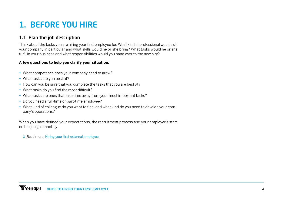## 1. BEFORE YOU HIRE

#### 1.1 Plan the job description

Think about the tasks you are hiring your first employee for. What kind of professional would suit your company in particular and what skills would he or she bring? What tasks would he or she fulfil in your business and what responsibilities would you hand over to the new hire?

#### **A few questions to help you clarify your situation:**

- **•** What competence does your company need to grow?
- **•** What tasks are you best at?
- **•** How can you be sure that you complete the tasks that you are best at?
- **•** What tasks do you find the most difficult?
- **•** What tasks are ones that take time away from your most important tasks?
- **•** Do you need a full-time or part-time employee?
- **•** What kind of colleague do you want to find, and what kind do you need to develop your company's operations?

When you have defined your expectations, the recruitment process and your employer's start on the job go smoothly.

» Read more: [Hiring your first external employee](https://www.yrittajat.fi/yrittajan-abc/tyonantajan-abc/tyontekijan-palkkaaminen/rekrytointi/ensimmaisen-tyontekijan)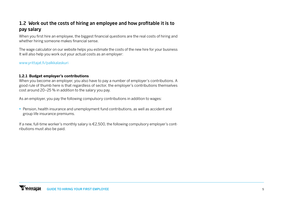#### 1.2 Work out the costs of hiring an employee and how profitable it is to pay salary

When you first hire an employee, the biggest financial questions are the real costs of hiring and whether hiring someone makes financial sense.

The wage calculator on our website helps you estimate the costs of the new hire for your business It will also help you work out your actual costs as an employer:

[www.yrittajat.fi/palkkalaskuri](http://www.yrittajat.fi/palkkalaskuri)

#### **1.2.1 Budget employer's contributions**

When you become an employer, you also have to pay a number of employer's contributions. A good rule of thumb here is that regardless of sector, the employer's contributions themselves cost around 20–25 % in addition to the salary you pay.

As an employer, you pay the following compulsory contributions in addition to wages:

**•** Pension, health insurance and unemployment fund contributions, as well as accident and group life insurance premiums.

If a new, full-time worker's monthly salary is €2,500, the following compulsory employer's contributions must also be paid.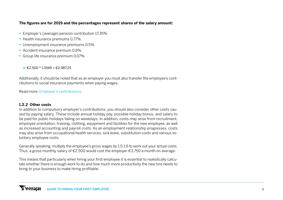#### **The figures are for 2019 and the percentages represent shares of the salary amount:**

- **•** Employer's (average) pension contribution 17.35%
- **•** Health insurance premiums 0.77%
- **•** Unemployment insurance premiums 0.5%
- **•** Accident insurance premium 0.8%
- **•** Group life insurance premium 0.07%

 $\rightarrow$  €2.500 \* 1.1949 = €2.987.25

Additionally, it should be noted that as an employer you must also transfer the employee's contributions to social insurance payments when paying wages.

Read more: [Employer's contributions](https://www.yrittajat.fi/yrittajan-abc/tyonantajan-abc/tyonantajamaksut-316483)

#### **1.2.2 Other costs**

In addition to compulsory employer's contributions, you should also consider other costs caused by paying salary. These include annual holiday pay, possible holiday bonus, and salary to be paid for public holidays falling on weekdays. In addition, costs may arise from recruitment, employee orientation, training, clothing, equipment and facilities for the new employee, as well as increased accounting and payroll costs. As an employment relationship progresses, costs may also arise from occupational health services, sick leave, substitution costs and various voluntary employee costs.

Generally speaking, multiply the employee's gross wages by 1.5-1.6 to work out your actual costs. Thus, a gross monthly salary of €2,500 would cost the employer €3,750 a month on average.

This means that particularly when hiring your first employee it is essential to realistically calculate whether there is enough work to do and how much more productivity the new hire needs to bring to your business to make hiring profitable.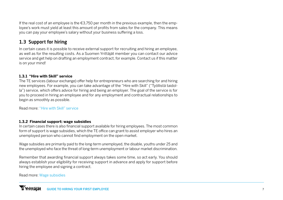If the real cost of an employee is the  $\epsilon$ 3.750 per month in the previous example, then the employee's work must yield at least this amount of profits from sales for the company. This means you can pay your employee's salary without your business suffering a loss.

#### 1.3 Support for hiring

In certain cases it is possible to receive external support for recruiting and hiring an employee, as well as for the resulting costs. As a Suomen Yrittäjät member you can contact our advice service and get help on drafting an employment contract, for example. Contact us if this matter is on your mind!

#### **1.3.1 "Hire with Skill" service**

The TE services (labour exchange) offer help for entrepreneurs who are searching for and hiring new employees. For example, you can take advantage of the "Hire with Skill" ("Työllistä taidolla") service, which offers advice for hiring and being an employer. The goal of the service is for you to proceed in hiring an employee and for any employment and contractual relationships to begin as smoothly as possible.

Read more: ["Hire with Skill" service](https://www.te-palvelut.fi/te/fi/tyonantajalle/yrittajalle/tyollista_taidolla/index.html)

#### **1.3.2 Financial support: wage subsidies**

In certain cases there is also financial support available for hiring employees. The most common form of support is wage subsidies, which the TE office can grant to assist employer who hires an unemployed person who cannot find employment on the open market.

Wage subsidies are primarily paid to the long-term unemployed, the disable, youths under 25 and the unemployed who face the threat of long-term unemployment or labour market discrimination.

Remember that awarding financial support always takes some time, so act early. You should always establish your eligibility for receiving support in advance and apply for support before hiring the employee and signing a contract.

Read more: [Wage subsidies](https://www.yrittajat.fi/yrittajan-abc/tyonantajan-abc/tyontekijan-palkkaaminen/tuet-tyontekijan-palkkaamiseen/palkkatuki)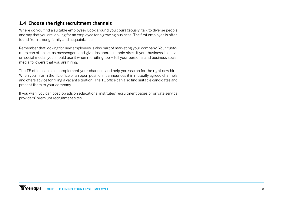#### 1.4 Choose the right recruitment channels

Where do you find a suitable employee? Look around you courageously, talk to diverse people and say that you are looking for an employee for a growing business. The first employee is often found from among family and acquaintances.

Remember that looking for new employees is also part of marketing your company. Your customers can often act as messengers and give tips about suitable hires. If your business is active on social media, you should use it when recruiting too – tell your personal and business social media followers that you are hiring.

The TE office can also complement your channels and help you search for the right new hire. When you inform the TE office of an open position, it announces it in mutually agreed channels and offers advice for filling a vacant situation. The TE office can also find suitable candidates and present them to your company.

If you wish, you can post job ads on educational institutes' recruitment pages or private service providers' premium recruitment sites.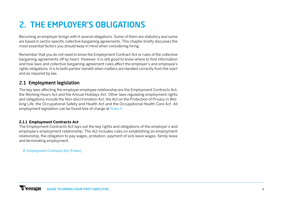## 2. THE EMPLOYER'S OBLIGATIONS

Becoming an employer brings with it several obligations. Some of them are statutory and some are based in sector-specific collective bargaining agreements. This chapter briefly discusses the most essential factors you should keep in mind when considering hiring.

Remember that you do not need to know the Employment Contract Act or rules of the collective bargaining agreements off by heart. However, it is still good to know where to find information and how laws and collective bargaining agreement rules affect the employer's and employee's rights obligations. It is to both parties' benefit when matters are handled correctly from the start and as required by law.

#### 2.1 Employment legislation

The key laws affecting the employer-employee relationship are the Employment Contracts Act, the Working Hours Act and the Annual Holidays Act. Other laws regulating employment rights and obligations include the Non-discrimination Act, the Act on the Protection of Privacy in Working Life, the Occupational Safety and Health Act and the Occupational Health Care Act. All employment legislation can be found free of charge at [finlex.fi.](https://www.finlex.fi/en/)

#### **2.1.1 Employment Contracts Act**

The Employment Contracts Act lays out the key rights and obligations of the employer's and employee's employment relationship. The Act includes rules on establishing an employment relationship, the obligation to pay wages, probation, payment of sick leave wages, family leave and terminating employment.

» [Employment Contracts Act \(Finlex\)](https://www.finlex.fi/fi/laki/ajantasa/2001/20010055?search%5Btype%5D=pika&search%5Bpika%5D=ty%C3%B6sopimuslaki)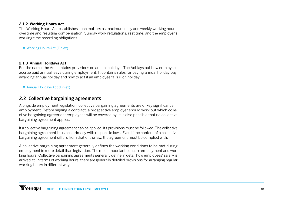#### **2.1.2 Working Hours Act**

The Working Hours Act establishes such matters as maximum daily and weekly working hours, overtime and resulting compensation, Sunday work regulations, rest time, and the employer's working time recording obligations.

» [Working Hours Act \(Finlex\)](https://www.finlex.fi/fi/laki/ajantasa/kumotut/1996/19960605)

#### **2.1.3 Annual Holidays Act**

Per the name, the Act contains provisions on annual holidays. The Act lays out how employees accrue paid annual leave during employment. It contains rules for paying annual holiday pay, awarding annual holiday and how to act if an employee falls ill on holiday.

» [Annual Holidays Act \(Finlex\)](https://www.finlex.fi/fi/laki/ajantasa/2005/20050162?search%5Btype%5D=pika&search%5Bpika%5D=vuosilomalaki)

#### 2.2 Collective bargaining agreements

Alongside employment legislation, collective bargaining agreements are of key significance in employment. Before signing a contract, a prospective employer should work out which collective bargaining agreement employees will be covered by. It is also possible that no collective bargaining agreement applies.

If a collective bargaining agreement can be applied, its provisions must be followed. The collective bargaining agreement thus has primacy with respect to laws. Even if the content of a collective bargaining agreement differs from that of the law, the agreement must be complied with.

A collective bargaining agreement generally defines the working conditions to be met during employment in more detail than legislation. The most important concern employment and working hours. Collective bargaining agreements generally define in detail how employees' salary is arrived at. In terms of working hours, there are generally detailed provisions for arranging regular working hours in different ways.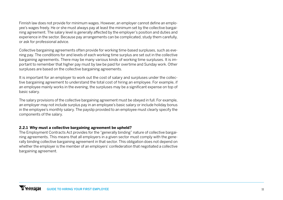Finnish law does not provide for minimum wages. However, an employer cannot define an employee's wages freely. He or she must always pay at least the minimum set by the collective bargaining agreement. The salary level is generally affected by the employer's position and duties and experience in the sector. Because pay arrangements can be complicated, study them carefully, or ask for professional advice.

Collective bargaining agreements often provide for working time-based surpluses, such as evening pay. The conditions for and levels of each working time surplus are set out in the collective bargaining agreements. There may be many various kinds of working time surpluses. It is important to remember that higher pay must by law be paid for overtime and Sunday work. Other surpluses are based on the collective bargaining agreements.

It is important for an employer to work out the cost of salary and surpluses under the collective bargaining agreement to understand the total cost of hiring an employee. For example, if an employee mainly works in the evening, the surpluses may be a significant expense on top of basic salary.

The salary provisions of the collective bargaining agreement must be obeyed in full. For example, an employer may not include surplus pay in an employee's basic salary or include holiday bonus in the employee's monthly salary. The payslip provided to an employee must clearly specify the components of the salary.

#### **2.2.1 Why must a collective bargaining agreement be upheld?**

The Employment Contracts Act provides for the "generally binding" nature of collective bargaining agreements. This means that all employers in a given sector must comply with the generally binding collective bargaining agreement in that sector. This obligation does not depend on whether the employer is the member of an employers' confederation that negotiated a collective bargaining agreement.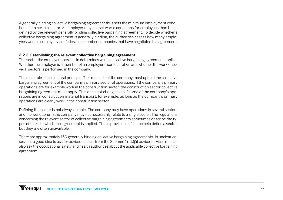A generally binding collective bargaining agreement thus sets the minimum employment conditions for a certain sector. An employer may not set worse conditions for employees than those defined by the relevant generally binding collective bargaining agreement. To decide whether a collective bargaining agreement is generally binding, the authorities assess how many employees work in employers' confederation member companies that have negotiated the agreement.

#### **2.2.2 Establishing the relevant collective bargaining agreement**

The sector the employer operates in determines which collective bargaining agreement applies. Whether the employer is a member of an employers' confederation and whether the work of several sectors is performed in the company.

The main rule is the sectoral principle. This means that the company must uphold the collective bargaining agreement of the company's primary sector of operations. If the company's primary operations are for example work in the construction sector, the construction sector collective bargaining agreement must apply. This does not change even if some of the company's operations are in construction material transport, for example, as long as the company's primary operations are clearly work in the construction sector.

Defining the sector is not always simple. The company may have operations in several sectors and the work done in the company may not necessarily relate to a single sector. The regulations concerning the relevant sector of collective bargaining agreements sometimes describe the types of tasks to which the agreement is applied. These provisions of scope help define a sector, but they are often unavailable.

There are approximately 160 generally binding collective bargaining agreements. In unclear cases, it is a good idea to ask for advice, such as from the Suomen Yrittäjät advice service. You can also ask the occupational safety and health authorities about the applicable collective bargaining agreement.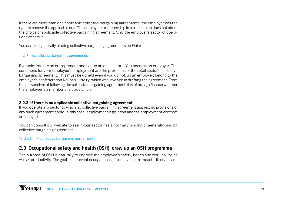If there are more than one applicable collective bargaining agreements, the employer has the right to choose the applicable one. The employee's membership in a trade union does not affect the choice of applicable collective bargaining agreement. Only the employer's sector of operations affects it.

You can find generally binding collective bargaining agreements on Finlex:

#### » [Finlex collective bargaining agreements](https://www.finlex.fi/fi/viranomaiset/tyoehto/)

Example: You are an entrepreneur and set up an online store. You become an employer. The conditions for your employee's employment are the provisions of the retail sector's collective bargaining agreement. This must be upheld even if you do not, as an employer, belong to the employer's confederation Kaupan Liitto ry, which was involved in drafting the agreement. From the perspective of following the collective bargaining agreement, it is of no significance whether the employee is a member of a trade union.

#### **2.2.3 If there is no applicable collective bargaining agreement**

If you operate in a sector to which no collective bargaining agreement applies, no provisions of any such agreement apply. In this case, employment legislation and the employment contract are obeyed.

You can consult our website to see if your sector has a normally binding or generally binding collective bargaining agreement.

[Yrittäjät.fi – collective bargaining agreements](https://www.yrittajat.fi/yrittajan-abc/tyonantajan-abc/tyoehtosopimukset-316465)

#### 2.3 Occupational safety and health (OSH): draw up an OSH programme

The purpose of OSH is naturally to improve the employee's safety, health and work ability, as well as productivity. The goal is to prevent occupational accidents, health impacts, illnesses and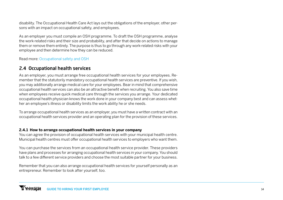disability. The Occupational Health Care Act lays out the obligations of the employer, other persons with an impact on occupational safety, and employees.

As an employer you must compile an OSH programme. To draft the OSH programme, analyse the work-related risks and their size and probability, and after that decide on actions to manage them or remove them entirely. The purpose is thus to go through any work-related risks with your employee and then determine how they can be reduced.

Read more: [Occupational safety and OSH](https://www.yrittajat.fi/yrittajan-abc/tyonantajan-abc/tyoturvallisuus-ja-tyosuojelu-316630)

#### 2.4 Occupational health services

As an employer, you must arrange free occupational health services for your employees. Remember that the statutorily mandatory occupational health services are preventive. If you wish, you may additionally arrange medical care for your employees. Bear in mind that comprehensive occupational health services can also be an attractive benefit when recruiting. You also save time when employees receive quick medical care through the services you arrange. Your dedicated occupational health physician knows the work done in your company best and can assess whether an employee's illness or disability limits the work ability he or she needs.

To arrange occupational health services as an employer, you must have a written contract with an occupational health services provider and an operating plan for the provision of these services.

#### **2.4.1 How to arrange occupational health services in your company**

You can agree the provision of occupational health services with your municipal health centre. Municipal health centres must offer occupational health services to employers who want them.

You can purchase the services from an occupational health service provider. These providers have plans and processes for arranging occupational health services in your company. You should talk to a few different service providers and choose the most suitable partner for your business.

Remember that you can also arrange occupational health services for yourself personally as an entrepreneur. Remember to look after yourself, too.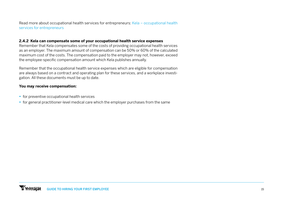Read more about occupational health services for entrepreneurs: [Kela – occupational health](https://www.kela.fi/tyoterveyshuolto-yrittaja?inheritRedirect=true) [services for entrepreneurs](https://www.kela.fi/tyoterveyshuolto-yrittaja?inheritRedirect=true)

#### **2.4.2 Kela can compensate some of your occupational health service expenses**

Remember that Kela compensates some of the costs of providing occupational health services as an employer. The maximum amount of compensation can be 50% or 60% of the calculated maximum cost of the costs. The compensation paid to the employer may not, however, exceed the employee-specific compensation amount which Kela publishes annually.

Remember that the occupational health service expenses which are eligible for compensation are always based on a contract and operating plan for these services, and a workplace investigation. All these documents must be up to date.

#### **You may receive compensation:**

- **•** for preventive occupational health services
- **•** for general practitioner-level medical care which the employer purchases from the same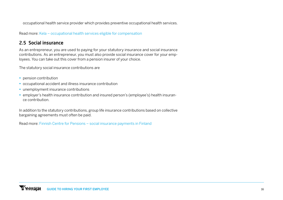occupational health service provider which provides preventive occupational health services.

Read more: [Kela – occupational health services eligible for compensation](https://www.kela.fi/tyonantajat-korvattava-tyoterveyshuolto)

#### 2.5 Social insurance

As an entrepreneur, you are used to paying for your statutory insurance and social insurance contributions. As an entrepreneur, you must also provide social insurance cover for your employees. You can take out this cover from a pension insurer of your choice.

The statutory social insurance contributions are

- **•** pension contribution
- **•** occupational accident and illness insurance contribution
- **•** unemployment insurance contributions
- **•** employer's health insurance contribution and insured person's (employee's) health insurance contribution.

In addition to the statutory contributions, group life insurance contributions based on collective bargaining agreements must often be paid.

Read more: [Finnish Centre for Pensions – social insurance payments in Finland](https://www.etk.fi/tyo-ja-elakkeet-ulkomailla/ulkomaantyon-vakuuttaminen/sosiaalivakuutusmaksut-suomessa/)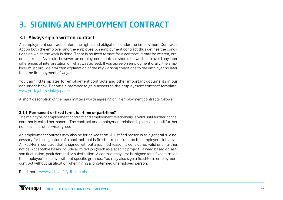## 3. SIGNING AN EMPLOYMENT CONTRACT

#### 3.1 Always sign a written contract

An employment contract confers the rights and obligations under the Employment Contracts Act on both the employer and the employee. An employment contract thus defines the conditions on which the work is done. There is no fixed format for a contract: it may be written, oral or electronic. As a rule, however, an employment contract should be written to avoid any later differences of interpretation on what was agreed. If you agree on employment orally, the employer must provide a written explanation of the key working conditions to the employer no later than the first payment of wages.

You can find templates for employment contracts and other important documents in our document bank. Become a member to gain access to the employment contract template. [www.yrittajat.fi/asiakirjapankki](http://www.yrittajat.fi/asiakirjapankki)

A short description of the main matters worth agreeing on in employment contracts follows.

#### **3.1.1 Permanent or fixed term, full-time or part-time?**

The main type of employment contract and employment relationship is valid until further notice, commonly called permanent. The contract and employment relationship are valid until further notice unless otherwise agreed.

An employment contract may also be for a fixed term. A justified reason is as a general rule necessary for the signature of a contract that is fixed-term contract on the employer's initiative. A fixed-term contract that is signed without a justified reason is considered valid until further notice. Acceptable bases include a limited job (such as a specific project), a need based on season fluctuation, peak demand or substitution. A contract may also be signed for a fixed term on the employee's initiative without specific grounds. You may also sign a fixed-term employment contract without justification when hiring a long-termed unemployed person.

Read more: [www.yrittajat.fi/yrittajan-abc](http://www.yrittajat.fi/yrittajan-abc)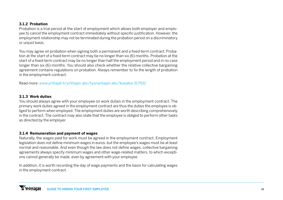#### **3.1.2 Probation**

Probation is a trial period at the start of employment which allows both employer and employee to cancel the employment contract immediately without specific justification. However, the employment relationship may not be terminated during the probation period on a discriminatory or unjust basis.

You may agree on probation when signing both a permanent and a fixed-term contract. Probation at the start of a fixed-term contract may be no longer than six (6) months. Probation at the start of a fixed-term contract may be no longer than half the employment period and in no case longer than six (6) months. You should also check whether the relative collective bargaining agreement contains regulations on probation. Always remember to fix the length of probation in the employment contract.

Read more: [www.yrittajat.fi/yrittajan-abc/tyonantajan-abc/koeaika-317932](http://www.yrittajat.fi/yrittajan-abc/tyonantajan-abc/koeaika-317932)

#### **3.1.3 Work duties**

You should always agree with your employee on work duties in the employment contract. The primary work duties agreed in the employment contract are thus the duties the employee is obliged to perform when employed. The employment duties are worth describing comprehensively in the contract. The contract may also state that the employee is obliged to perform other tasks as directed by the employer.

#### **3.1.4 Remuneration and payment of wages**

Naturally, the wages paid for work must be agreed in the employment contract. Employment legislation does not define minimum wages in euros, but the employee's wages must be at least normal and reasonable. And even though the law does not define wages, collective bargaining agreements always specify minimum wages and other wage-related matters, to which exceptions cannot generally be made, even by agreement with your employee.

In addition, it is worth recording the day of wage payments and the basis for calculating wages in the employment contract.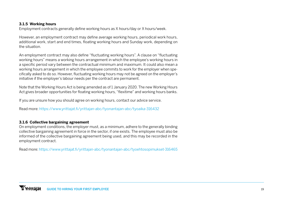#### **3.1.5 Working hours**

Employment contracts generally define working hours as X hours/day or X hours/week.

However, an employment contract may define average working hours, periodical work hours, additional work, start and end times, floating working hours and Sunday work, depending on the situation.

An employment contract may also define "fluctuating working hours". A clause on "fluctuating working hours" means a working hours arrangement in which the employee's working hours in a specific period vary between the contractual minimum and maximum. It could also mean a working hours arrangement in which the employee commits to work for the employer when specifically asked to do so. However, fluctuating working hours may not be agreed on the employer's initiative if the employer's labour needs per the contract are permanent.

Note that the Working Hours Act is being amended as of 1 January 2020. The new Working Hours Act gives broader opportunities for floating working hours, "flexitime" and working hours banks.

If you are unsure how you should agree on working hours, contact our advice service.

Read more: <https://www.yrittajat.fi/yrittajan-abc/tyonantajan-abc/tyoaika-316432>

#### **3.1.6 Collective bargaining agreement**

On employment conditions, the employer must, as a minimum, adhere to the generally binding collective bargaining agreement in force in the sector, if one exists. The employee must also be informed of the collective bargaining agreement being used, and this may be recorded in the employment contract.

Read more:<https://www.yrittajat.fi/yrittajan-abc/tyonantajan-abc/tyoehtosopimukset-316465>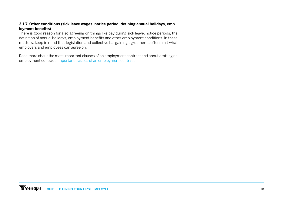#### **3.1.7 Other conditions (sick leave wages, notice period, defining annual holidays, employment benefits)**

There is good reason for also agreeing on things like pay during sick leave, notice periods, the definition of annual holidays, employment benefits and other employment conditions. In these matters, keep in mind that legislation and collective bargaining agreements often limit what employers and employees can agree on.

Read more about the most important clauses of an employment contract and about drafting an employment contract: [Important clauses of an employment contract](https://www.yrittajat.fi/yrittajan-abc/tyonantajan-abc/tyontekijan-palkkaaminen/tyosopimuksen-tekeminen/tyosopimuksen-tarkeat)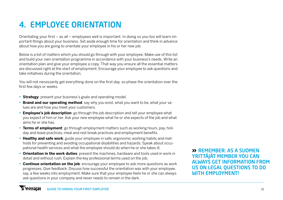## 4. EMPLOYEE ORIENTATION

Orientating your first – as all – employees well is important. In doing so you too will learn important things about your business. Set aside enough time for orientation and think in advance about how you are going to orientate your employee in his or her new job.

Below is a list of matters which you should go through with your employee. Make use of this list and build your own orientation programme in accordance with your business's needs. Write an orientation plan and give your employee a copy. That way you ensure all the essential matters are discussed right at the start of employment. Encourage your employee to ask questions and take initiatives during the orientation.

You will not necessarily get everything done on the first day, so phase the orientation over the first few days or weeks.

- **• Strategy**: present your business's goals and operating model.
- **• Brand and our operating method**: say why you exist, what you want to be, what your values are and how you meet your customers.
- **• Employee's job description**: go through the job description and tell your employee what you expect of him or her. Ask your new employee what he or she expects of the job and what aims he or she has.
- **• Terms of employment**: go through employment matters such as working hours, pay, holiday and leave practices, meal and rest break practices and employment benefits.
- **• Healthy and safe work**: guide your employee in safe, ergonomic working habits and methods for preventing and avoiding occupational disabilities and hazards. Speak about occupational health services and what the employee should do when he or she takes ill.
- **• Orientation in the work duties**: present the machines, hardware and tools used in work in detail and without rush. Explain the key professional terms used on the job.
- **• Continue orientation on the job**: encourage your employee to ask more questions as work progresses. Give feedback. Discuss how successful the orientation was with your employee, say, a few weeks into employment. Make sure that your employee feels he or she can always ask questions in your company and never needs to remain in the dark.

» REMEMBER: AS A SUOMEN YRITTÄJÄT MEMBER YOU CAN ALWAYS GET INFORMATION FROM US ON LEGAL QUESTIONS TO DO **WITH EMPLOYMENT!**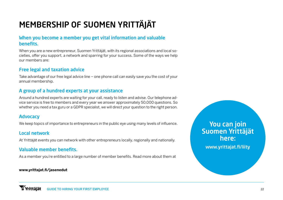## MEMBERSHIP OF SUOMEN YRITTÄJÄT

#### When you become a member you get vital information and valuable benefits.

When you are a new entrepreneur, Suomen Yrittäjät, with its regional associations and local societies, offer you support, a network and sparring for your success. Some of the ways we help our members are:

#### Free legal and taxation advice

Take advantage of our free legal advice line – one phone call can easily save you the cost of your annual membership.

#### A group of a hundred experts at your assistance

Around a hundred experts are waiting for your call, ready to listen and advise. Our telephone advice service is free to members and every year we answer approximately 50,000 questions. So whether you need a tax guru or a GDPR specialist, we will direct your question to the right person.

#### Advocacy

We keep topics of importance to entrepreneurs in the public eye using many levels of influence.

#### Local network

At Yrittäjät events you can network with other entrepreneurs locally, regionally and nationally.

#### Valuable member benefits.

As a member you're entitled to a large number of member benefits. Read more about them at

#### **[www.yrittajat.fi/jasenedut](http://www.yrittajat.fi/jasenedut)**

### You can join Suomen Yrittäjät here:

[www.yrittajat.fi/liity](http://www.yrittajat.fi/liity)